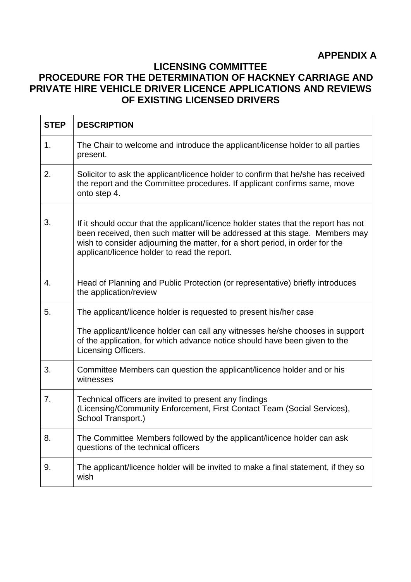## **APPENDIX A**

## **LICENSING COMMITTEE PROCEDURE FOR THE DETERMINATION OF HACKNEY CARRIAGE AND PRIVATE HIRE VEHICLE DRIVER LICENCE APPLICATIONS AND REVIEWS OF EXISTING LICENSED DRIVERS**

| <b>STEP</b> | <b>DESCRIPTION</b>                                                                                                                                                                                                                                                                                  |
|-------------|-----------------------------------------------------------------------------------------------------------------------------------------------------------------------------------------------------------------------------------------------------------------------------------------------------|
| 1.          | The Chair to welcome and introduce the applicant/license holder to all parties<br>present.                                                                                                                                                                                                          |
| 2.          | Solicitor to ask the applicant/licence holder to confirm that he/she has received<br>the report and the Committee procedures. If applicant confirms same, move<br>onto step 4.                                                                                                                      |
| 3.          | If it should occur that the applicant/licence holder states that the report has not<br>been received, then such matter will be addressed at this stage. Members may<br>wish to consider adjourning the matter, for a short period, in order for the<br>applicant/licence holder to read the report. |
| 4.          | Head of Planning and Public Protection (or representative) briefly introduces<br>the application/review                                                                                                                                                                                             |
| 5.          | The applicant/licence holder is requested to present his/her case                                                                                                                                                                                                                                   |
|             | The applicant/licence holder can call any witnesses he/she chooses in support<br>of the application, for which advance notice should have been given to the<br>Licensing Officers.                                                                                                                  |
| 3.          | Committee Members can question the applicant/licence holder and or his<br>witnesses                                                                                                                                                                                                                 |
| 7.          | Technical officers are invited to present any findings<br>(Licensing/Community Enforcement, First Contact Team (Social Services),<br>School Transport.)                                                                                                                                             |
| 8.          | The Committee Members followed by the applicant/licence holder can ask<br>questions of the technical officers                                                                                                                                                                                       |
| 9.          | The applicant/licence holder will be invited to make a final statement, if they so<br>wish                                                                                                                                                                                                          |